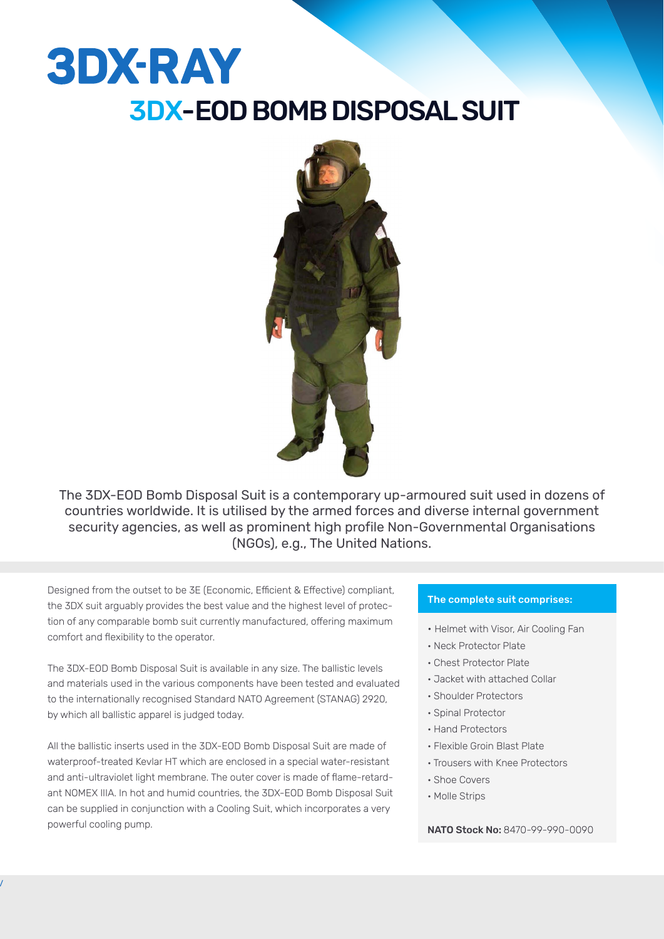# **3DX-RAY** 3DX-EOD BOMB DISPOSAL SUIT



The 3DX-EOD Bomb Disposal Suit is a contemporary up-armoured suit used in dozens of countries worldwide. It is utilised by the armed forces and diverse internal government security agencies, as well as prominent high profile Non-Governmental Organisations (NGOs), e.g., The United Nations.

Designed from the outset to be 3E (Economic, Efficient & Effective) compliant, the 3DX suit arguably provides the best value and the highest level of protection of any comparable bomb suit currently manufactured, offering maximum comfort and flexibility to the operator.

The 3DX-EOD Bomb Disposal Suit is available in any size. The ballistic levels and materials used in the various components have been tested and evaluated to the internationally recognised Standard NATO Agreement (STANAG) 2920, by which all ballistic apparel is judged today.

All the ballistic inserts used in the 3DX-EOD Bomb Disposal Suit are made of waterproof-treated Kevlar HT which are enclosed in a special water-resistant and anti-ultraviolet light membrane. The outer cover is made of flame-retardant NOMEX IIIA. In hot and humid countries, the 3DX-EOD Bomb Disposal Suit can be supplied in conjunction with a Cooling Suit, which incorporates a very powerful cooling pump.

l

#### The complete suit comprises:

- Helmet with Visor, Air Cooling Fan
- Neck Protector Plate
- Chest Protector Plate
- Jacket with attached Collar
- Shoulder Protectors
- Spinal Protector
- Hand Protectors
- Flexible Groin Blast Plate
- Trousers with Knee Protectors
- Shoe Covers
- Molle Strips

NATO Stock No: 8470-99-990-0090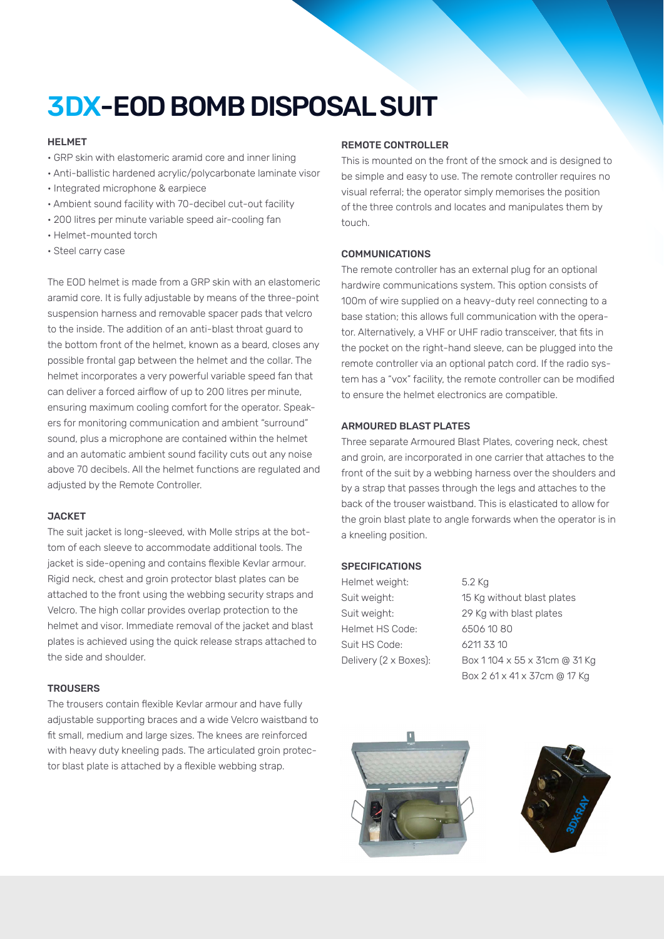## 3DX-EOD BOMB DISPOSAL SUIT

#### HELMET

- GRP skin with elastomeric aramid core and inner lining
- Anti-ballistic hardened acrylic/polycarbonate laminate visor
- Integrated microphone & earpiece
- Ambient sound facility with 70-decibel cut-out facility
- 200 litres per minute variable speed air-cooling fan
- Helmet-mounted torch
- Steel carry case

The EOD helmet is made from a GRP skin with an elastomeric aramid core. It is fully adjustable by means of the three-point suspension harness and removable spacer pads that velcro to the inside. The addition of an anti-blast throat guard to the bottom front of the helmet, known as a beard, closes any possible frontal gap between the helmet and the collar. The helmet incorporates a very powerful variable speed fan that can deliver a forced airflow of up to 200 litres per minute, ensuring maximum cooling comfort for the operator. Speakers for monitoring communication and ambient "surround" sound, plus a microphone are contained within the helmet and an automatic ambient sound facility cuts out any noise above 70 decibels. All the helmet functions are regulated and adjusted by the Remote Controller.

#### **JACKET**

The suit jacket is long-sleeved, with Molle strips at the bottom of each sleeve to accommodate additional tools. The jacket is side-opening and contains flexible Kevlar armour. Rigid neck, chest and groin protector blast plates can be attached to the front using the webbing security straps and Velcro. The high collar provides overlap protection to the helmet and visor. Immediate removal of the jacket and blast plates is achieved using the quick release straps attached to the side and shoulder.

#### **TROUSERS**

The trousers contain flexible Kevlar armour and have fully adjustable supporting braces and a wide Velcro waistband to fit small, medium and large sizes. The knees are reinforced with heavy duty kneeling pads. The articulated groin protector blast plate is attached by a flexible webbing strap.

#### REMOTE CONTROLLER

This is mounted on the front of the smock and is designed to be simple and easy to use. The remote controller requires no visual referral; the operator simply memorises the position of the three controls and locates and manipulates them by touch.

#### COMMUNICATIONS

The remote controller has an external plug for an optional hardwire communications system. This option consists of 100m of wire supplied on a heavy-duty reel connecting to a base station; this allows full communication with the operator. Alternatively, a VHF or UHF radio transceiver, that fits in the pocket on the right-hand sleeve, can be plugged into the remote controller via an optional patch cord. If the radio system has a "vox" facility, the remote controller can be modified to ensure the helmet electronics are compatible.

#### ARMOURED BLAST PLATES

Three separate Armoured Blast Plates, covering neck, chest and groin, are incorporated in one carrier that attaches to the front of the suit by a webbing harness over the shoulders and by a strap that passes through the legs and attaches to the back of the trouser waistband. This is elasticated to allow for the groin blast plate to angle forwards when the operator is in a kneeling position.

#### **SPECIFICATIONS**

Helmet weight: 5.2 Kg Helmet HS Code: 6506 10 80 Suit HS Code: 6211 33 10

Suit weight: 15 Kg without blast plates Suit weight: 29 Kg with blast plates Delivery (2 x Boxes): Box 1 104 x 55 x 31cm @ 31 Kg Box 2 61 x 41 x 37cm @ 17 Kg